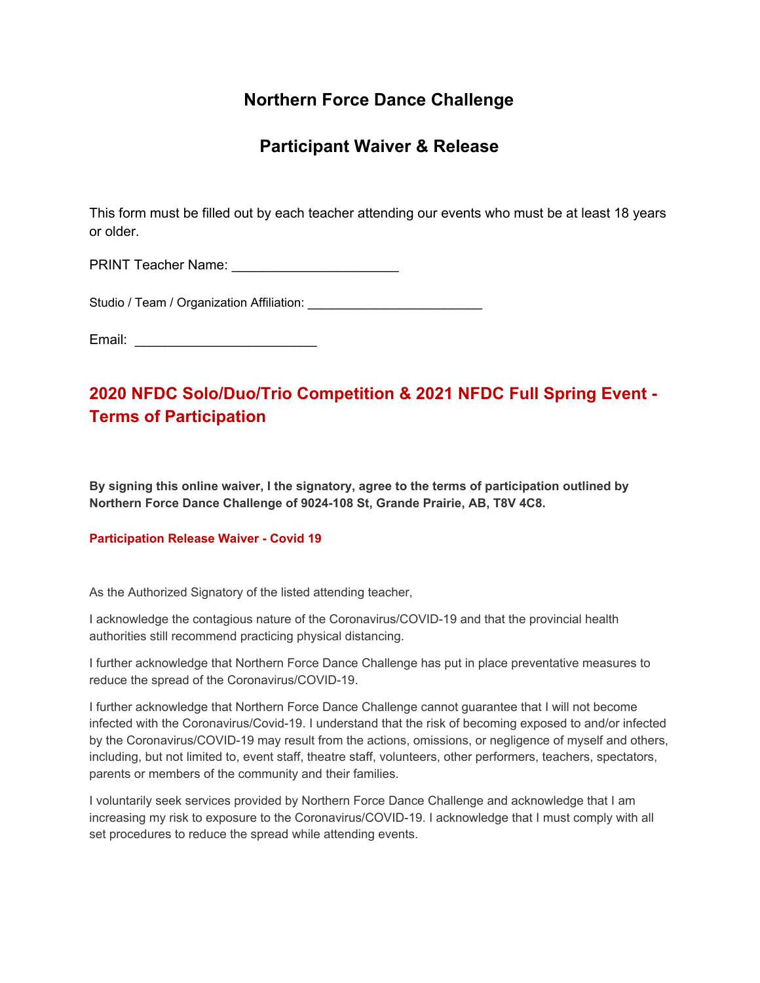## **Northern Force Dance Challenge**

## **Participant Waiver & Release**

This form must be filled out by each teacher attending our events who must be at least 18 years or older.

PRINT Teacher Name: \_\_\_\_\_\_\_\_\_\_\_\_\_\_\_\_\_\_\_\_\_\_

Studio / Team / Organization Affiliation:

Email: \_\_\_\_\_\_\_\_\_\_\_\_\_\_\_\_\_\_\_\_\_\_\_\_

# **2020 NFDC Solo/Duo/Trio Competition & 2021 NFDC Full Spring Event - Terms of Participation**

**By signing this online waiver, I the signatory, agree to the terms of participation outlined by Northern Force Dance Challenge of 9024-108 St, Grande Prairie, AB, T8V 4C8.**

### **Participation Release Waiver - Covid 19**

As the Authorized Signatory of the listed attending teacher,

I acknowledge the contagious nature of the Coronavirus/COVID-19 and that the provincial health authorities still recommend practicing physical distancing.

I further acknowledge that Northern Force Dance Challenge has put in place preventative measures to reduce the spread of the Coronavirus/COVID-19.

I further acknowledge that Northern Force Dance Challenge cannot guarantee that I will not become infected with the Coronavirus/Covid-19. I understand that the risk of becoming exposed to and/or infected by the Coronavirus/COVID-19 may result from the actions, omissions, or negligence of myself and others, including, but not limited to, event staff, theatre staff, volunteers, other performers, teachers, spectators, parents or members of the community and their families.

I voluntarily seek services provided by Northern Force Dance Challenge and acknowledge that I am increasing my risk to exposure to the Coronavirus/COVID-19. I acknowledge that I must comply with all set procedures to reduce the spread while attending events.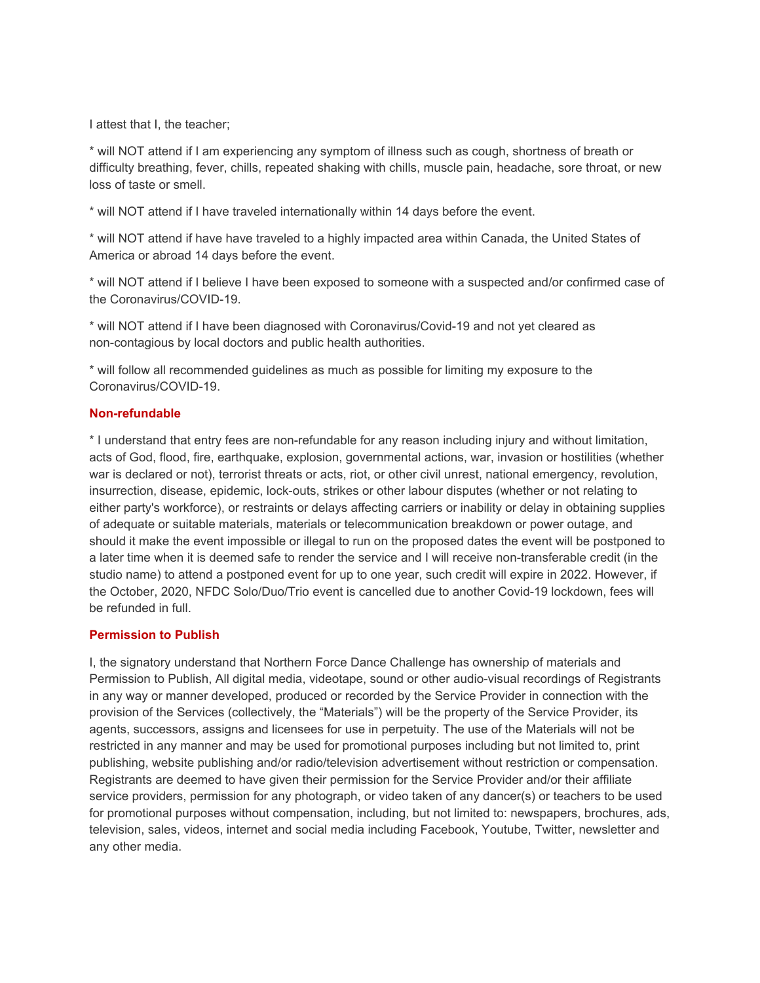I attest that I, the teacher;

\* will NOT attend if I am experiencing any symptom of illness such as cough, shortness of breath or difficulty breathing, fever, chills, repeated shaking with chills, muscle pain, headache, sore throat, or new loss of taste or smell.

\* will NOT attend if I have traveled internationally within 14 days before the event.

\* will NOT attend if have have traveled to a highly impacted area within Canada, the United States of America or abroad 14 days before the event.

\* will NOT attend if I believe I have been exposed to someone with a suspected and/or confirmed case of the Coronavirus/COVID-19.

\* will NOT attend if I have been diagnosed with Coronavirus/Covid-19 and not yet cleared as non-contagious by local doctors and public health authorities.

\* will follow all recommended guidelines as much as possible for limiting my exposure to the Coronavirus/COVID-19.

### **Non-refundable**

\* I understand that entry fees are non-refundable for any reason including injury and without limitation, acts of God, flood, fire, earthquake, explosion, governmental actions, war, invasion or hostilities (whether war is declared or not), terrorist threats or acts, riot, or other civil unrest, national emergency, revolution, insurrection, disease, epidemic, lock-outs, strikes or other labour disputes (whether or not relating to either party's workforce), or restraints or delays affecting carriers or inability or delay in obtaining supplies of adequate or suitable materials, materials or telecommunication breakdown or power outage, and should it make the event impossible or illegal to run on the proposed dates the event will be postponed to a later time when it is deemed safe to render the service and I will receive non-transferable credit (in the studio name) to attend a postponed event for up to one year, such credit will expire in 2022. However, if the October, 2020, NFDC Solo/Duo/Trio event is cancelled due to another Covid-19 lockdown, fees will be refunded in full.

#### **Permission to Publish**

I, the signatory understand that Northern Force Dance Challenge has ownership of materials and Permission to Publish, All digital media, videotape, sound or other audio-visual recordings of Registrants in any way or manner developed, produced or recorded by the Service Provider in connection with the provision of the Services (collectively, the "Materials") will be the property of the Service Provider, its agents, successors, assigns and licensees for use in perpetuity. The use of the Materials will not be restricted in any manner and may be used for promotional purposes including but not limited to, print publishing, website publishing and/or radio/television advertisement without restriction or compensation. Registrants are deemed to have given their permission for the Service Provider and/or their affiliate service providers, permission for any photograph, or video taken of any dancer(s) or teachers to be used for promotional purposes without compensation, including, but not limited to: newspapers, brochures, ads, television, sales, videos, internet and social media including Facebook, Youtube, Twitter, newsletter and any other media.